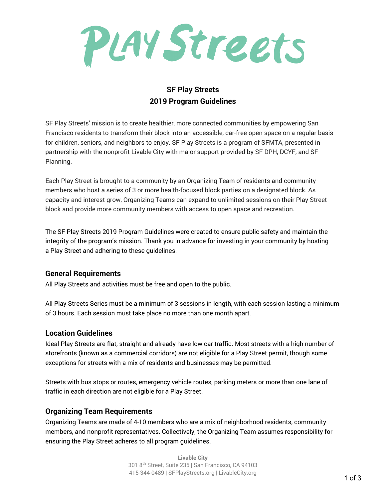

# **SF Play Streets 2019 Program Guidelines**

SF Play Streets' mission is to create healthier, more connected communities by empowering San Francisco residents to transform their block into an accessible, car-free open space on a regular basis for children, seniors, and neighbors to enjoy. SF Play Streets is a program of SFMTA, presented in partnership with the nonprofit Livable City with major support provided by SF DPH, DCYF, and SF Planning.

Each Play Street is brought to a community by an Organizing Team of residents and community members who host a series of 3 or more health-focused block parties on a designated block. As capacity and interest grow, Organizing Teams can expand to unlimited sessions on their Play Street block and provide more community members with access to open space and recreation.

The SF Play Streets 2019 Program Guidelines were created to ensure public safety and maintain the integrity of the program's mission. Thank you in advance for investing in your community by hosting a Play Street and adhering to these guidelines.

#### **General Requirements**

All Play Streets and activities must be free and open to the public.

All Play Streets Series must be a minimum of 3 sessions in length, with each session lasting a minimum of 3 hours. Each session must take place no more than one month apart.

#### **Location Guidelines**

Ideal Play Streets are flat, straight and already have low car traffic. Most streets with a high number of storefronts (known as a commercial corridors) are not eligible for a Play Street permit, though some exceptions for streets with a mix of residents and businesses may be permitted.

Streets with bus stops or routes, emergency vehicle routes, parking meters or more than one lane of traffic in each direction are not eligible for a Play Street.

## **Organizing Team Requirements**

Organizing Teams are made of 4-10 members who are a mix of neighborhood residents, community members, and nonprofit representatives. Collectively, the Organizing Team assumes responsibility for ensuring the Play Street adheres to all program guidelines.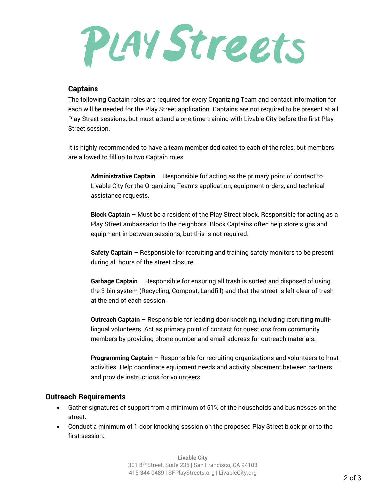# PLAY Streets

#### **Captains**

The following Captain roles are required for every Organizing Team and contact information for each will be needed for the Play Street application. Captains are not required to be present at all Play Street sessions, but must attend a one-time training with Livable City before the first Play Street session.

It is highly recommended to have a team member dedicated to each of the roles, but members are allowed to fill up to two Captain roles.

**Administrative Captain** – Responsible for acting as the primary point of contact to Livable City for the Organizing Team's application, equipment orders, and technical assistance requests.

**Block Captain** – Must be a resident of the Play Street block. Responsible for acting as a Play Street ambassador to the neighbors. Block Captains often help store signs and equipment in between sessions, but this is not required.

**Safety Captain** – Responsible for recruiting and training safety monitors to be present during all hours of the street closure.

**Garbage Captain** – Responsible for ensuring all trash is sorted and disposed of using the 3-bin system (Recycling, Compost, Landfill) and that the street is left clear of trash at the end of each session.

**Outreach Captain** – Responsible for leading door knocking, including recruiting multilingual volunteers. Act as primary point of contact for questions from community members by providing phone number and email address for outreach materials.

**Programming Captain** – Responsible for recruiting organizations and volunteers to host activities. Help coordinate equipment needs and activity placement between partners and provide instructions for volunteers.

#### **Outreach Requirements**

- Gather signatures of support from a minimum of 51% of the households and businesses on the street.
- Conduct a minimum of 1 door knocking session on the proposed Play Street block prior to the first session.